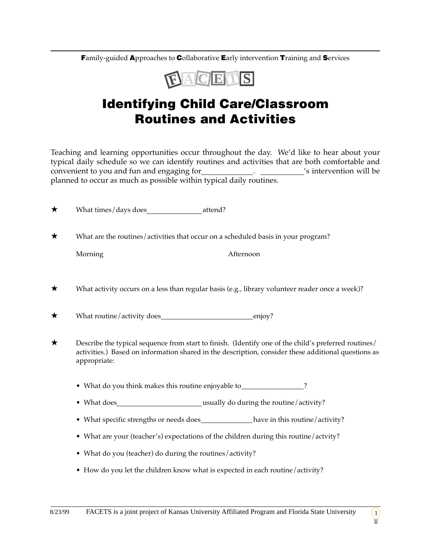**F**amily-guided **A**pproaches to **C**ollaborative **E**arly intervention **T**raining and **S**ervices



## **Identifying Child Care/Classroom Routines and Activities**

Teaching and learning opportunities occur throughout the day. We'd like to hear about your typical daily schedule so we can identify routines and activities that are both comfortable and convenient to you and fun and engaging for . 's intervention will be planned to occur as much as possible within typical daily routines.

 $\star$  What times/days does attend? ★ What are the routines/activities that occur on a scheduled basis in your program? Morning Afternoon ★ What activity occurs on a less than regular basis (e.g., library volunteer reader once a week)? ★ What routine/activity does enjoy?  $\star$  Describe the typical sequence from start to finish. (Identify one of the child's preferred routines/ activities.) Based on information shared in the description, consider these additional questions as appropriate: • What do you think makes this routine enjoyable to \_\_\_\_\_\_\_\_\_\_\_\_\_\_\_\_\_\_\_\_? • What does usually do during the routine/activity? • What specific strengths or needs does have in this routine/activity? • What are your (teacher's) expectations of the children during this routine/actvity? • What do you (teacher) do during the routines/activity? • How do you let the children know what is expected in each routine/activity?